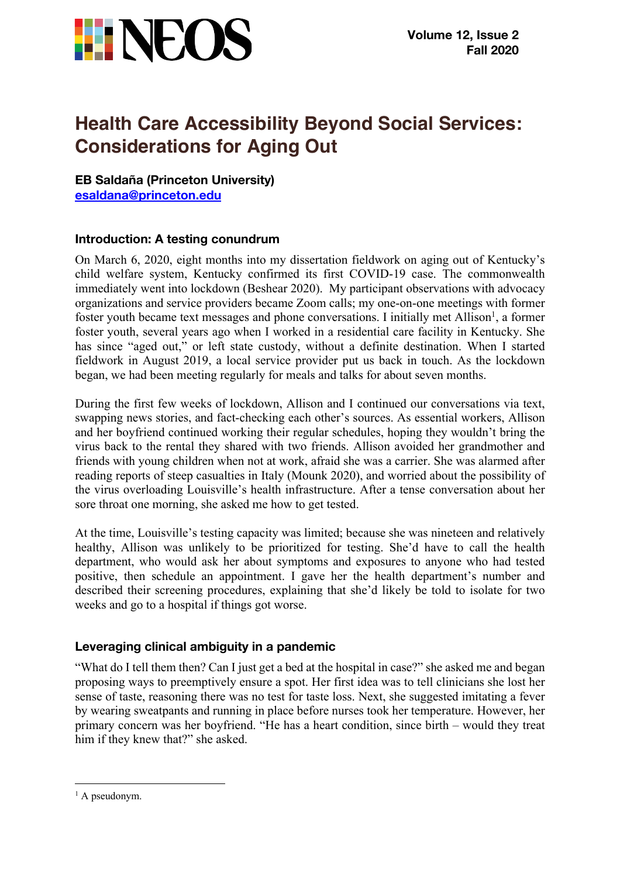

# **Health Care Accessibility Beyond Social Services: Considerations for Aging Out**

**EB Saldaña (Princeton University) esaldana@princeton.edu**

## **Introduction: A testing conundrum**

On March 6, 2020, eight months into my dissertation fieldwork on aging out of Kentucky's child welfare system, Kentucky confirmed its first COVID-19 case. The commonwealth immediately went into lockdown (Beshear 2020). My participant observations with advocacy organizations and service providers became Zoom calls; my one-on-one meetings with former foster youth became text messages and phone conversations. I initially met Allison<sup>1</sup>, a former foster youth, several years ago when I worked in a residential care facility in Kentucky. She has since "aged out," or left state custody, without a definite destination. When I started fieldwork in August 2019, a local service provider put us back in touch. As the lockdown began, we had been meeting regularly for meals and talks for about seven months.

During the first few weeks of lockdown, Allison and I continued our conversations via text, swapping news stories, and fact-checking each other's sources. As essential workers, Allison and her boyfriend continued working their regular schedules, hoping they wouldn't bring the virus back to the rental they shared with two friends. Allison avoided her grandmother and friends with young children when not at work, afraid she was a carrier. She was alarmed after reading reports of steep casualties in Italy (Mounk 2020), and worried about the possibility of the virus overloading Louisville's health infrastructure. After a tense conversation about her sore throat one morning, she asked me how to get tested.

At the time, Louisville's testing capacity was limited; because she was nineteen and relatively healthy, Allison was unlikely to be prioritized for testing. She'd have to call the health department, who would ask her about symptoms and exposures to anyone who had tested positive, then schedule an appointment. I gave her the health department's number and described their screening procedures, explaining that she'd likely be told to isolate for two weeks and go to a hospital if things got worse.

### **Leveraging clinical ambiguity in a pandemic**

"What do I tell them then? Can I just get a bed at the hospital in case?" she asked me and began proposing ways to preemptively ensure a spot. Her first idea was to tell clinicians she lost her sense of taste, reasoning there was no test for taste loss. Next, she suggested imitating a fever by wearing sweatpants and running in place before nurses took her temperature. However, her primary concern was her boyfriend. "He has a heart condition, since birth – would they treat him if they knew that?" she asked.

 $<sup>1</sup>$  A pseudonym.</sup>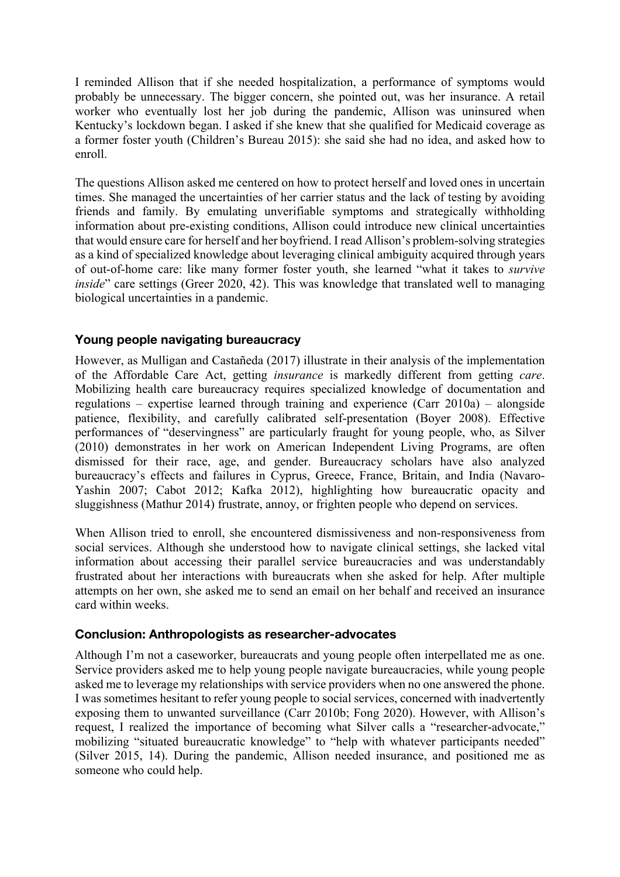I reminded Allison that if she needed hospitalization, a performance of symptoms would probably be unnecessary. The bigger concern, she pointed out, was her insurance. A retail worker who eventually lost her job during the pandemic, Allison was uninsured when Kentucky's lockdown began. I asked if she knew that she qualified for Medicaid coverage as a former foster youth (Children's Bureau 2015): she said she had no idea, and asked how to enroll.

The questions Allison asked me centered on how to protect herself and loved ones in uncertain times. She managed the uncertainties of her carrier status and the lack of testing by avoiding friends and family. By emulating unverifiable symptoms and strategically withholding information about pre-existing conditions, Allison could introduce new clinical uncertainties that would ensure care for herself and her boyfriend. I read Allison's problem-solving strategies as a kind of specialized knowledge about leveraging clinical ambiguity acquired through years of out-of-home care: like many former foster youth, she learned "what it takes to *survive inside*" care settings (Greer 2020, 42). This was knowledge that translated well to managing biological uncertainties in a pandemic.

### **Young people navigating bureaucracy**

However, as Mulligan and Castañeda (2017) illustrate in their analysis of the implementation of the Affordable Care Act, getting *insurance* is markedly different from getting *care*. Mobilizing health care bureaucracy requires specialized knowledge of documentation and regulations – expertise learned through training and experience (Carr 2010a) – alongside patience, flexibility, and carefully calibrated self-presentation (Boyer 2008). Effective performances of "deservingness" are particularly fraught for young people, who, as Silver (2010) demonstrates in her work on American Independent Living Programs, are often dismissed for their race, age, and gender. Bureaucracy scholars have also analyzed bureaucracy's effects and failures in Cyprus, Greece, France, Britain, and India (Navaro-Yashin 2007; Cabot 2012; Kafka 2012), highlighting how bureaucratic opacity and sluggishness (Mathur 2014) frustrate, annoy, or frighten people who depend on services.

When Allison tried to enroll, she encountered dismissiveness and non-responsiveness from social services. Although she understood how to navigate clinical settings, she lacked vital information about accessing their parallel service bureaucracies and was understandably frustrated about her interactions with bureaucrats when she asked for help. After multiple attempts on her own, she asked me to send an email on her behalf and received an insurance card within weeks.

### **Conclusion: Anthropologists as researcher-advocates**

Although I'm not a caseworker, bureaucrats and young people often interpellated me as one. Service providers asked me to help young people navigate bureaucracies, while young people asked me to leverage my relationships with service providers when no one answered the phone. I was sometimes hesitant to refer young people to social services, concerned with inadvertently exposing them to unwanted surveillance (Carr 2010b; Fong 2020). However, with Allison's request, I realized the importance of becoming what Silver calls a "researcher-advocate," mobilizing "situated bureaucratic knowledge" to "help with whatever participants needed" (Silver 2015, 14). During the pandemic, Allison needed insurance, and positioned me as someone who could help.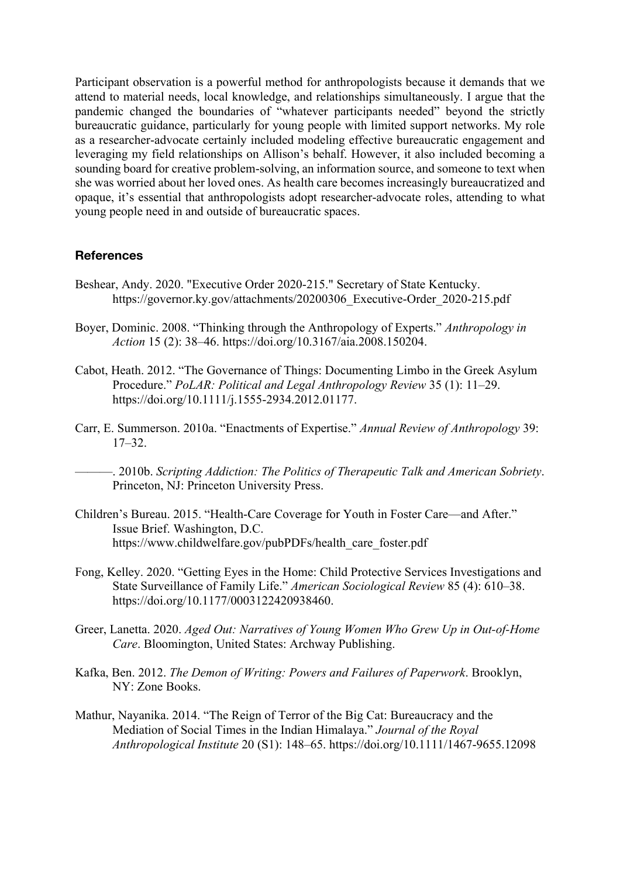Participant observation is a powerful method for anthropologists because it demands that we attend to material needs, local knowledge, and relationships simultaneously. I argue that the pandemic changed the boundaries of "whatever participants needed" beyond the strictly bureaucratic guidance, particularly for young people with limited support networks. My role as a researcher-advocate certainly included modeling effective bureaucratic engagement and leveraging my field relationships on Allison's behalf. However, it also included becoming a sounding board for creative problem-solving, an information source, and someone to text when she was worried about her loved ones. As health care becomes increasingly bureaucratized and opaque, it's essential that anthropologists adopt researcher-advocate roles, attending to what young people need in and outside of bureaucratic spaces.

#### **References**

- Beshear, Andy. 2020. "Executive Order 2020-215." Secretary of State Kentucky. https://governor.ky.gov/attachments/20200306\_Executive-Order\_2020-215.pdf
- Boyer, Dominic. 2008. "Thinking through the Anthropology of Experts." *Anthropology in Action* 15 (2): 38–46. https://doi.org/10.3167/aia.2008.150204.
- Cabot, Heath. 2012. "The Governance of Things: Documenting Limbo in the Greek Asylum Procedure." *PoLAR: Political and Legal Anthropology Review* 35 (1): 11–29. https://doi.org/10.1111/j.1555-2934.2012.01177.
- Carr, E. Summerson. 2010a. "Enactments of Expertise." *Annual Review of Anthropology* 39: 17–32.
	- ———. 2010b. *Scripting Addiction: The Politics of Therapeutic Talk and American Sobriety*. Princeton, NJ: Princeton University Press.
- Children's Bureau. 2015. "Health-Care Coverage for Youth in Foster Care—and After." Issue Brief. Washington, D.C. https://www.childwelfare.gov/pubPDFs/health\_care\_foster.pdf
- Fong, Kelley. 2020. "Getting Eyes in the Home: Child Protective Services Investigations and State Surveillance of Family Life." *American Sociological Review* 85 (4): 610–38. https://doi.org/10.1177/0003122420938460.
- Greer, Lanetta. 2020. *Aged Out: Narratives of Young Women Who Grew Up in Out-of-Home Care*. Bloomington, United States: Archway Publishing.
- Kafka, Ben. 2012. *The Demon of Writing: Powers and Failures of Paperwork*. Brooklyn, NY: Zone Books.
- Mathur, Nayanika. 2014. "The Reign of Terror of the Big Cat: Bureaucracy and the Mediation of Social Times in the Indian Himalaya." *Journal of the Royal Anthropological Institute* 20 (S1): 148–65. https://doi.org/10.1111/1467-9655.12098